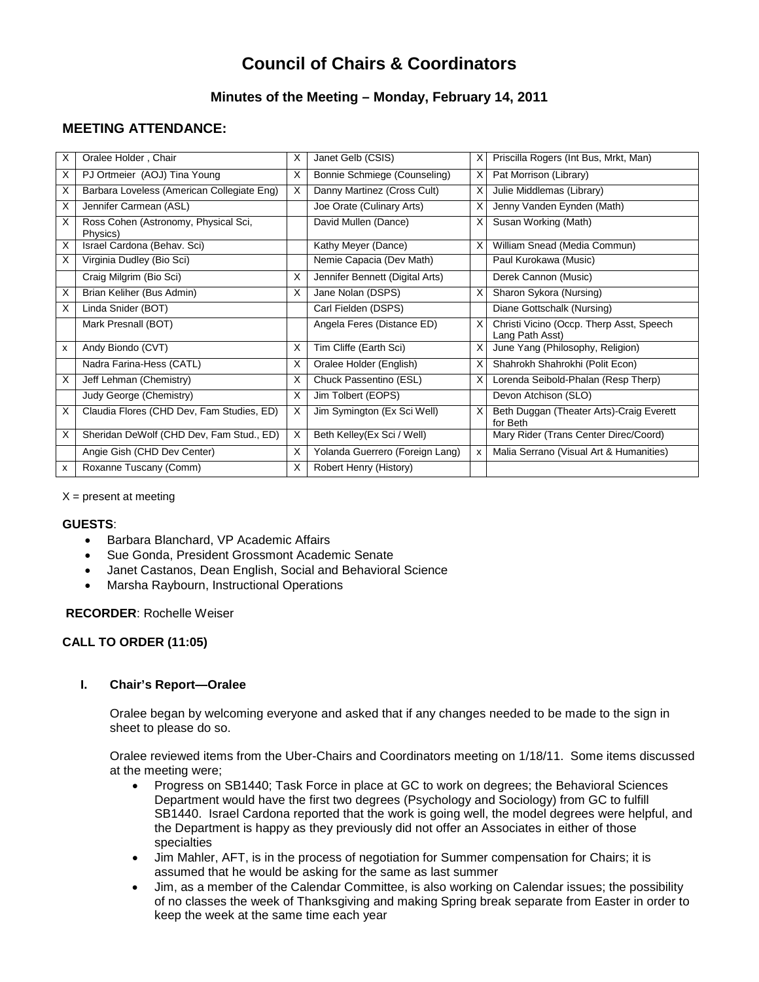# **Council of Chairs & Coordinators**

# **Minutes of the Meeting – Monday, February 14, 2011**

# **MEETING ATTENDANCE:**

| X  | Oralee Holder, Chair                             | X | Janet Gelb (CSIS)               | X | Priscilla Rogers (Int Bus, Mrkt, Man)                       |
|----|--------------------------------------------------|---|---------------------------------|---|-------------------------------------------------------------|
| X  | PJ Ortmeier (AOJ) Tina Young                     | X | Bonnie Schmiege (Counseling)    | X | Pat Morrison (Library)                                      |
| х  | Barbara Loveless (American Collegiate Eng)       | X | Danny Martinez (Cross Cult)     | X | Julie Middlemas (Library)                                   |
| X  | Jennifer Carmean (ASL)                           |   | Joe Orate (Culinary Arts)       | X | Jenny Vanden Eynden (Math)                                  |
| X  | Ross Cohen (Astronomy, Physical Sci,<br>Physics) |   | David Mullen (Dance)            | X | Susan Working (Math)                                        |
| х  | Israel Cardona (Behav. Sci)                      |   | Kathy Meyer (Dance)             | X | William Snead (Media Commun)                                |
| X. | Virginia Dudley (Bio Sci)                        |   | Nemie Capacia (Dev Math)        |   | Paul Kurokawa (Music)                                       |
|    | Craig Milgrim (Bio Sci)                          | X | Jennifer Bennett (Digital Arts) |   | Derek Cannon (Music)                                        |
| X  | Brian Keliher (Bus Admin)                        | X | Jane Nolan (DSPS)               | X | Sharon Sykora (Nursing)                                     |
| X  | Linda Snider (BOT)                               |   | Carl Fielden (DSPS)             |   | Diane Gottschalk (Nursing)                                  |
|    | Mark Presnall (BOT)                              |   | Angela Feres (Distance ED)      | X | Christi Vicino (Occp. Therp Asst, Speech<br>Lang Path Asst) |
| x  | Andy Biondo (CVT)                                | X | Tim Cliffe (Earth Sci)          | X | June Yang (Philosophy, Religion)                            |
|    | Nadra Farina-Hess (CATL)                         | X | Oralee Holder (English)         | X | Shahrokh Shahrokhi (Polit Econ)                             |
| х  | Jeff Lehman (Chemistry)                          | X | Chuck Passentino (ESL)          | X | Lorenda Seibold-Phalan (Resp Therp)                         |
|    | Judy George (Chemistry)                          | X | Jim Tolbert (EOPS)              |   | Devon Atchison (SLO)                                        |
| X  | Claudia Flores (CHD Dev, Fam Studies, ED)        | X | Jim Symington (Ex Sci Well)     | X | Beth Duggan (Theater Arts)-Craig Everett<br>for Beth        |
| X  | Sheridan DeWolf (CHD Dev, Fam Stud., ED)         | X | Beth Kelley(Ex Sci / Well)      |   | Mary Rider (Trans Center Direc/Coord)                       |
|    | Angie Gish (CHD Dev Center)                      | X | Yolanda Guerrero (Foreign Lang) | x | Malia Serrano (Visual Art & Humanities)                     |
| x  | Roxanne Tuscany (Comm)                           | X | Robert Henry (History)          |   |                                                             |

 $X =$  present at meeting

#### **GUESTS**:

- Barbara Blanchard, VP Academic Affairs<br>• Sue Gonda President Grossmont Acade
- Sue Gonda, President Grossmont Academic Senate
- Janet Castanos, Dean English, Social and Behavioral Science
- Marsha Raybourn, Instructional Operations

### **RECORDER**: Rochelle Weiser

## **CALL TO ORDER (11:05)**

## **I. Chair's Report—Oralee**

Oralee began by welcoming everyone and asked that if any changes needed to be made to the sign in sheet to please do so.

Oralee reviewed items from the Uber-Chairs and Coordinators meeting on 1/18/11. Some items discussed at the meeting were;

- Progress on SB1440; Task Force in place at GC to work on degrees; the Behavioral Sciences Department would have the first two degrees (Psychology and Sociology) from GC to fulfill SB1440. Israel Cardona reported that the work is going well, the model degrees were helpful, and the Department is happy as they previously did not offer an Associates in either of those specialties
- Jim Mahler, AFT, is in the process of negotiation for Summer compensation for Chairs; it is assumed that he would be asking for the same as last summer
- Jim, as a member of the Calendar Committee, is also working on Calendar issues; the possibility of no classes the week of Thanksgiving and making Spring break separate from Easter in order to keep the week at the same time each year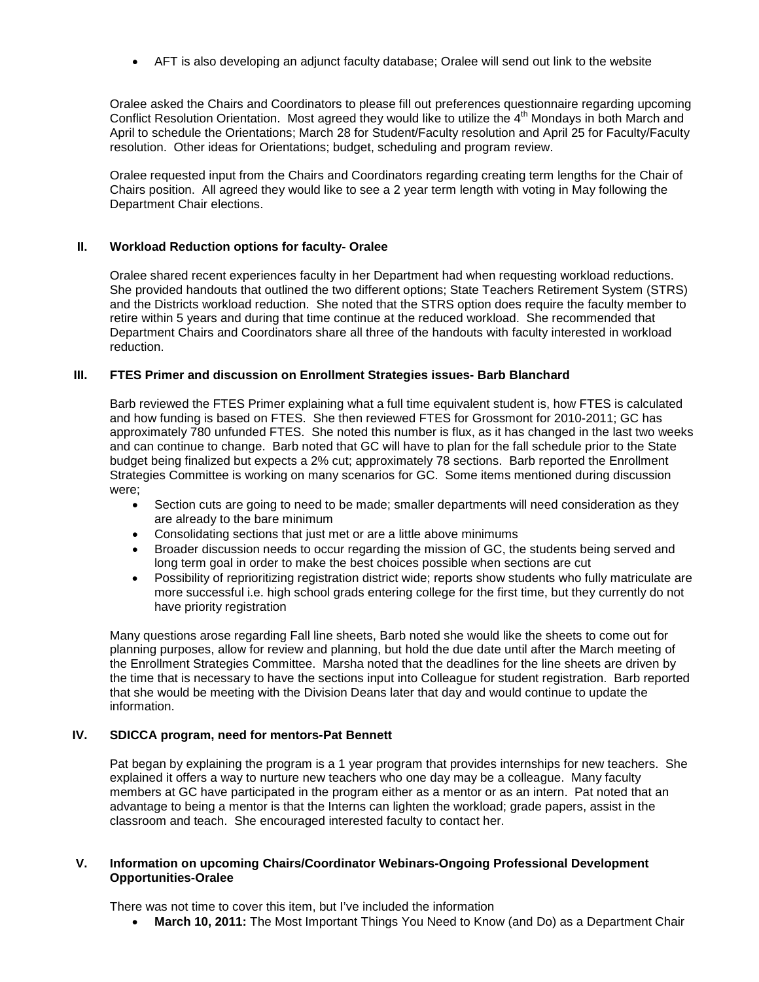• AFT is also developing an adjunct faculty database; Oralee will send out link to the website

Oralee asked the Chairs and Coordinators to please fill out preferences questionnaire regarding upcoming Conflict Resolution Orientation. Most agreed they would like to utilize the 4<sup>th</sup> Mondays in both March and April to schedule the Orientations; March 28 for Student/Faculty resolution and April 25 for Faculty/Faculty resolution. Other ideas for Orientations; budget, scheduling and program review.

Oralee requested input from the Chairs and Coordinators regarding creating term lengths for the Chair of Chairs position. All agreed they would like to see a 2 year term length with voting in May following the Department Chair elections.

#### **II. Workload Reduction options for faculty- Oralee**

Oralee shared recent experiences faculty in her Department had when requesting workload reductions. She provided handouts that outlined the two different options; State Teachers Retirement System (STRS) and the Districts workload reduction. She noted that the STRS option does require the faculty member to retire within 5 years and during that time continue at the reduced workload. She recommended that Department Chairs and Coordinators share all three of the handouts with faculty interested in workload reduction.

# **III. FTES Primer and discussion on Enrollment Strategies issues- Barb Blanchard**

Barb reviewed the FTES Primer explaining what a full time equivalent student is, how FTES is calculated and how funding is based on FTES. She then reviewed FTES for Grossmont for 2010-2011; GC has approximately 780 unfunded FTES. She noted this number is flux, as it has changed in the last two weeks and can continue to change. Barb noted that GC will have to plan for the fall schedule prior to the State budget being finalized but expects a 2% cut; approximately 78 sections. Barb reported the Enrollment Strategies Committee is working on many scenarios for GC. Some items mentioned during discussion were;

- Section cuts are going to need to be made; smaller departments will need consideration as they are already to the bare minimum
- Consolidating sections that just met or are a little above minimums
- Broader discussion needs to occur regarding the mission of GC, the students being served and long term goal in order to make the best choices possible when sections are cut
- Possibility of reprioritizing registration district wide; reports show students who fully matriculate are more successful i.e. high school grads entering college for the first time, but they currently do not have priority registration

Many questions arose regarding Fall line sheets, Barb noted she would like the sheets to come out for planning purposes, allow for review and planning, but hold the due date until after the March meeting of the Enrollment Strategies Committee. Marsha noted that the deadlines for the line sheets are driven by the time that is necessary to have the sections input into Colleague for student registration. Barb reported that she would be meeting with the Division Deans later that day and would continue to update the information.

#### **IV. SDICCA program, need for mentors-Pat Bennett**

Pat began by explaining the program is a 1 year program that provides internships for new teachers. She explained it offers a way to nurture new teachers who one day may be a colleague. Many faculty members at GC have participated in the program either as a mentor or as an intern. Pat noted that an advantage to being a mentor is that the Interns can lighten the workload; grade papers, assist in the classroom and teach. She encouraged interested faculty to contact her.

#### **V. Information on upcoming Chairs/Coordinator Webinars-Ongoing Professional Development Opportunities-Oralee**

There was not time to cover this item, but I've included the information

• **March 10, 2011:** The Most Important Things You Need to Know (and Do) as a Department Chair